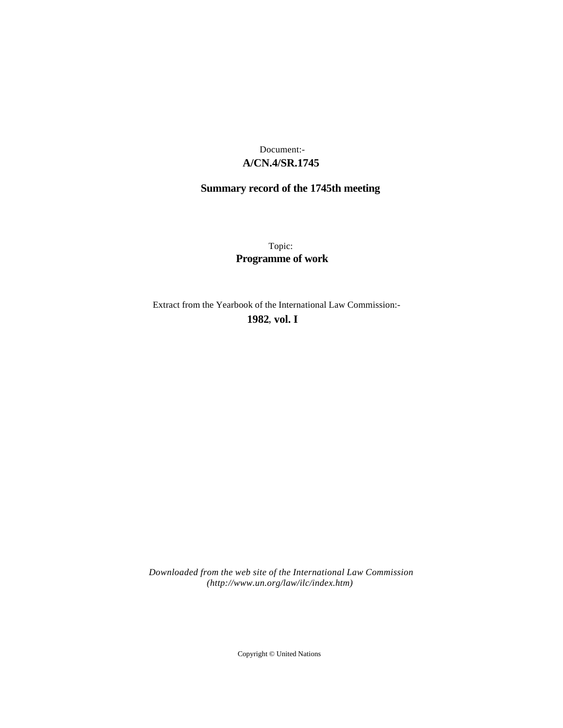# **A/CN.4/SR.1745** Document:-

# **Summary record of the 1745th meeting**

Topic: **Programme of work**

Extract from the Yearbook of the International Law Commission:-

**1982** , **vol. I**

*Downloaded from the web site of the International Law Commission (http://www.un.org/law/ilc/index.htm)*

Copyright © United Nations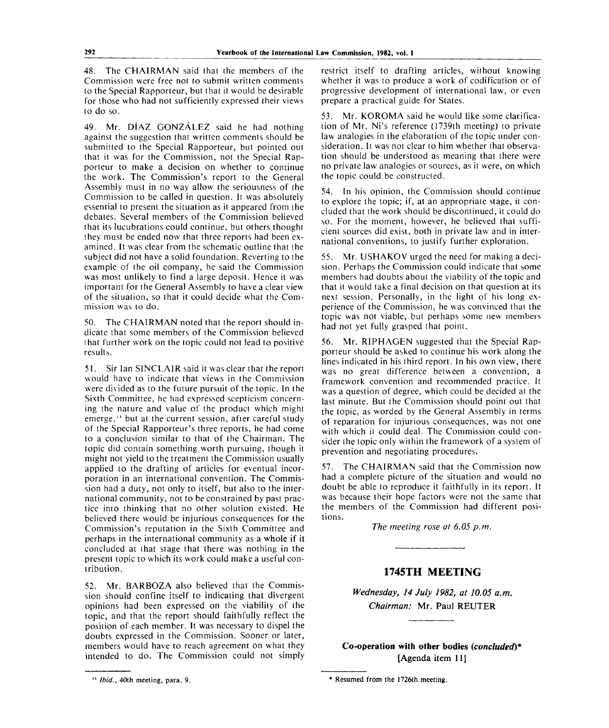48. The CHAIRMAN said that the members of the Commission were free not to submit written comments to the Special Rapporteur, but that it would be desirable for those who had not sufficiently expressed their views to do so.

49. Mr. DIAZ GONZALEZ said he had nothing against the suggestion that written comments should be submitted to the Special Rapporteur, but pointed out that it was for the Commission, not the Special Rapporteur to make a decision on whether to continue the work. The Commission's report to the General Assembly must in no way allow the seriousness of the Commission to be called in question. It was absolutely essential to present the situation as it appeared from the debates. Several members of the Commission believed that its lucubrations could continue, but others thought they must be ended now that three reports had been examined. It was clear from the schematic outline that the subject did not have a solid foundation. Reverting to the example of the oil company, he said the Commission was most unlikely to find a large deposit. Hence it was important for the General Assembly to have a clear view of the situation, so that it could decide what the Commission was to do.

50. The CHAIRMAN noted that the report should indicate that some members of the Commission believed that further work on the topic could not lead to positive results.

51. Sir Ian SINCLAIR said it was clear that the report would have to indicate that views in the Commission were divided as to the future pursuit of the topic. In the Sixth Committee, he had expressed scepticism concerning the nature and value of the product which might emerge,<sup>13</sup> but at the current session, after careful study of the Special Rapporteur's three reports, he had come to a conclusion similar to that of the Chairman. The topic did contain something worth pursuing, though it might not yield to the treatment the Commission usually applied to the drafting of articles for eventual incorporation in an international convention. The Commission had a duty, not only to itself, but also to the international community, not to be constrained by past practice into thinking that no other solution existed. He believed there would be injurious consequences for the Commission's reputation in the Sixth Committee and perhaps in the international community as a whole if it concluded at that stage that there was nothing in the present topic to which its work could make a useful contribution.

52. Mr. BARBOZA also believed that the Commission should confine itself to indicating that divergent opinions had been expressed on the viability of the topic, and that the report should faithfully reflect the position of each member. It was necessary to dispel the doubts expressed in the Commission. Sooner or later, members would have to reach agreement on what they intended to do. The Commission could not simply

restrict itself to drafting articles, without knowing whether it was to produce a work of codification or of progressive development of international law, or even prepare a practical guide for States.

53. Mr. KOROMA said he would like some clarification of Mr. Ni's reference (1739th meeting) to private law analogies in the elaboration of the topic under consideration. It was not clear to him whether that observation should be understood as meaning that there were no private law analogies or sources, as it were, on which the topic could be constructed.

54. In his opinion, the Commission should continue to explore the topic; if, at an appropriate stage, it concluded that the work should be discontinued, it could do so. For the moment, however, he believed that sufficient sources did exist, both in private law and in international conventions, to justify further exploration.

55. Mr. USHAKOV urged the need for making a decision. Perhaps the Commission could indicate that some members had doubts about the viability of the topic and that it would take a final decision on that question at its next session. Personally, in the light of his long experience of the Commission, he was convinced that the topic was not viable, but perhaps some new members had not yet fully grasped that point.

56. Mr. RIPHAGEN suggested that the Special Rapporteur should be asked to continue his work along the lines indicated in his third report. In his own view, there was no great difference between a convention, a framework convention and recommended practice. It was a question of degree, which could be decided at the last minute. But the Commission should point out that the topic, as worded by the General Assembly in terms of reparation for injurious consequences, was not one with which it could deal. The Commission could consider the topic only within the framework of a system of prevention and negotiating procedures.

57. The CHAIRMAN said that the Commission now had a complete picture of the situation and would no doubt be able to reproduce it faithfully in its report. It was because their hope factors were not the same that the members of the Commission had different positions.

*The meeting rose at 6.05 p.m.*

# **1745TH MEETING**

*Wednesday, 14 July 1982, at 10.05 a.m. Chairman:* Mr. Paul REUTER

**Co-operation with other bodies** *{concluded)\** [Agenda item 11]

<sup>&</sup>lt;sup>13</sup> *Ibid.*, 40th meeting, para. 9.

 $*$  Resumed from the 1726th meeting.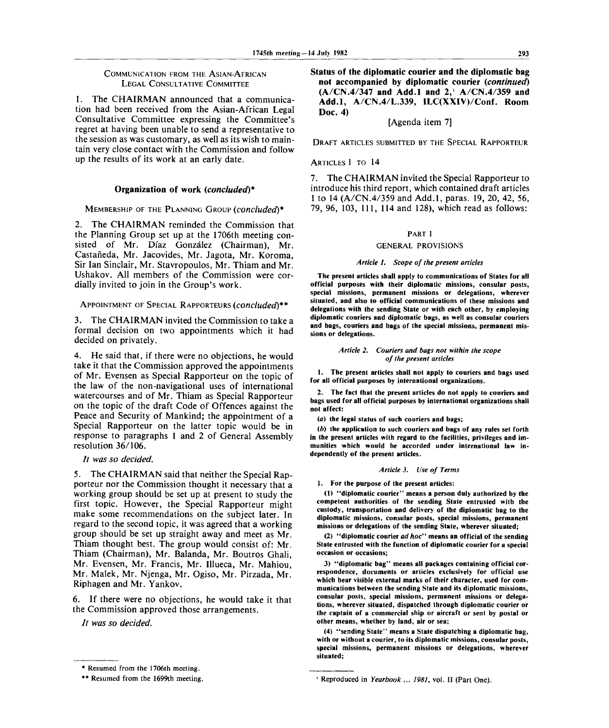# COMMUNICATION FROM THE ASIAN-AFRICAN

# LEGAL CONSULTATIVE COMMITTEE

1. The CHAIRMAN announced that a communication had been received from the Asian-African Legal Consultative Committee expressing the Committee's regret at having been unable to send a representative to the session as was customary, as well as its wish to maintain very close contact with the Commission and follow up the results of its work at an early date.

# **Organization of work** *{concluded)\**

# MEMBERSHIP OF THE PLANNING GROUP *{concluded)\**

2. The CHAIRMAN reminded the Commission that the Planning Group set up at the 1706th meeting consisted of Mr. Díaz González (Chairman), Mr. Castaneda, Mr. Jacovides, Mr. Jagota, Mr. Koroma, Sir Ian Sinclair, Mr. Stavropoulos, Mr. Thiam and Mr. Ushakov. All members of the Commission were cordially invited to join in the Group's work.

# APPOINTMENT OF SPECIAL RAPPORTEURS *{concluded)\*\**

3. The CHAIRMAN invited the Commission to take a formal decision on two appointments which it had decided on privately.

4. He said that, if there were no objections, he would take it that the Commission approved the appointments of Mr. Evensen as Special Rapporteur on the topic of the law of the non-navigational uses of international watercourses and of Mr. Thiam as Special Rapporteur on the topic of the draft Code of Offences against the Peace and Security of Mankind; the appointment of a Special Rapporteur on the latter topic would be in response to paragraphs 1 and 2 of General Assembly resolution 36/106.

# // *was so decided.*

5. The CHAIRMAN said that neither the Special Rapporteur nor the Commission thought it necessary that a working group should be set up at present to study the first topic. However, the Special Rapporteur might make some recommendations on the subject later. In regard to the second topic, it was agreed that a working group should be set up straight away and meet as Mr. Thiam thought best. The group would consist of: Mr. Thiam (Chairman), Mr. Balanda, Mr. Boutros Ghali, Mr. Evensen, Mr. Francis, Mr. Illueca, Mr. Mahiou, Mr. Malek, Mr. Njenga, Mr. Ogiso, Mr. Pirzada, Mr. Riphagen and Mr. Yankov.

6. If there were no objections, he would take it that the Commission approved those arrangements.

// *was so decided.*

**Status of the diplomatic courier and the diplomatic bag not accompanied by diplomatic courier** *{continued)* **(A/CN.4/347 and Add.l and 2,<sup>1</sup> A/CN.4/359 and Add.l, A/CN.4/L.339, ILC(XXIV)/Conf. Room Doc. 4)**

# [Agenda item 7]

DRAFT ARTICLES SUBMITTED BY THE SPECIAL RAPPORTEUR

## ARTICLES 1 TO 14

7. The CHAIRMAN invited the Special Rapporteur to introduce his third report, which contained draft articles 1 to 14 (A/CN.4/359 and Add.l, paras. 19, 20, 42, 56, 79, 96, 103, 111, 114 and 128), which read as follows:

## **PART I**

# **GENERAL PROVISIONS**

#### *Article 1. Scope of the present articles*

**The present articles shall apply to communications of States for all official purposes with their diplomatic missions, consular posts, special missions, permanent missions or delegations, wherever situated, and also to official communications of these missions and delegations with the sending State or with each other, by employing diplomatic couriers and diplomatic bags, as well as consular couriers and bags, couriers and bags of the special missions, permanent missions or delegations.**

#### *Article 2. Couriers and bags not within the scope of the present articles*

**1. The present articles shall not apply to couriers and bags used for all official purposes by international organizations.**

**2. The fact that the present articles do not apply to couriers and bags used for all official purposes by international organizations shall not affect:**

**(a) the legal status of such couriers and bags;**

*(b)* **the application to such couriers and bags of any rules set forth in the present articles with regard to the facilities, privileges and immunities which would be accorded under international law independently of the present articles.**

# *Article 3. Use of Terms*

## **1. For the purpose of the present articles:**

**(1) "diplomatic courier" means a person duly authorized by the competent authorities of the sending State entrusted with the custody, transportation and delivery of the diplomatic bag to the diplomatic missions, consular posts, special missions, permanent missions or delegations of the sending State, wherever situated;**

**(2) "diplomatic courier** *ad hoc"* **means an official of the sending State entrusted with the function of diplomatic courier for a special occasion or occasions;**

**3) "diplomatic bag" means all packages containing official correspondence, documents or articles exclusively for official use which bear visible external marks of their character, used for communications between the sending State and its diplomatic missions, consular posts, special missions, permanent missions or delegations, wherever situated, dispatched through diplomatic courier or the captain of a commercial ship or aircraft or sent by postal or other means, whether by land, air or sea;**

**(4) "sending State" means a State dispatching a diplomatic bag, with or without a courier, to its diplomatic missions, consular posts, special missions, permanent missions or delegations, wherever situated;**

**<sup>\*</sup> Resumed from the 1706th meeting.**

**<sup>\*\*</sup> Resumed from the 1699th meeting.**

**<sup>1</sup> Reproduced in** *Yearbook ... 1981,* **vol. II (Part One).**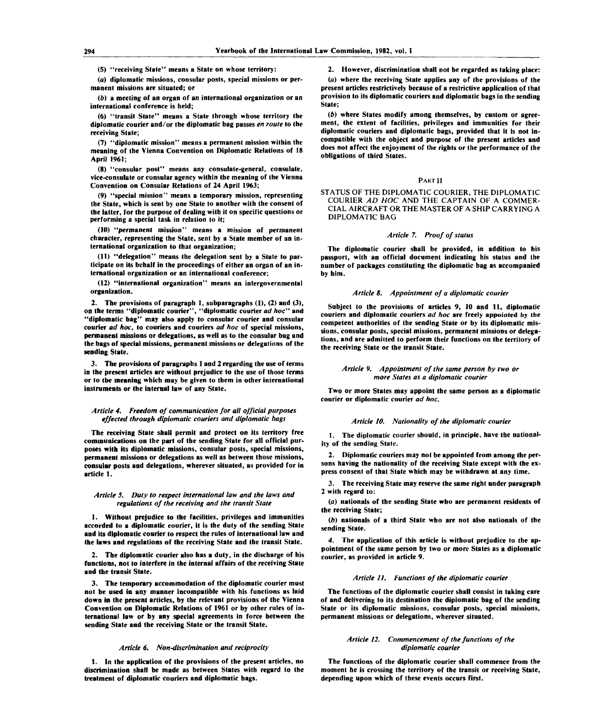**(5) "receiving State" means a State on whose territory:**

**(a) diplomatic missions, consular posts, special missions or permanent missions are situated; or**

*(b)* **a meeting of an organ of an international organization or an international conference is held;**

**(6) "transit State" means a State through whose territory the diplomatic courier and/or the diplomatic bag passes** *en route to* **the receiving State;**

**(7) "diplomatic mission" means a permanent mission within the meaning of the Vienna Convention on Diplomatic Relations of 18 April 1961;**

**(8) "consular post" means any consulate-general, consulate, vice-consulate or consular agency within the meaning of the Vienna Convention on Consular Relations of 24 April 1963;**

**(9) "special mission" means a temporary mission, representing the State, which is sent by one State to another with the consent of the latter, for the purpose of dealing with it on specific questions or performing a special task in relation to it;**

**(10) "permanent mission" means a mission of permanent character, representing the State, sent by a State member of an international organization to that organization;**

**(11) "delegation" means the delegation sent by a State to participate on its behalf in the proceedings of either an organ of an international organization or an international conference;**

**(12) "international organization" means an intergovernmental organization.**

**2. The provisions of paragraph 1, subparagraphs (1), (2) and (3), on the terms "diplomatic courier", "diplomatic courier** *ad hoc"* **and "diplomatic bag" may also apply to consular courier and consular courier** *ad hoc,* **to couriers and couriers** *ad hoc* **of special missions, permanent missions or delegations, as well as to the consular bag and the bags of special missions, permanent missions or delegations of the sending State.**

**3. The provisions of paragraphs 1 and 2 regarding the use of terms in the present articles are without prejudice to the use of those terms or to the meaning which may be given to them in other international instruments or the internal law of any State.**

### *Article 4. Freedom of communication for all official purposes effected through diplomatic couriers and diplomatic bags*

**The receiving State shall permit and protect on its territory free communications on the part of the sending State for all official purposes with its diplomatic missions, consular posts, special missions, permanent missions or delegations as well as between those missions, consular posts and delegations, wherever situated, as provided for in article 1.**

#### *Article 5. Duty to respect international law and the laws and regulations of the receiving and the transit State*

**1. Without prejudice to the facilities, privileges and immunities accorded to a diplomatic courier, it is the duty of the sending State and its diplomatic courier to respect the rules of international law and the laws and regulations of the receiving State and the transit State.**

**2. The diplomatic courier also has a duty, in the discharge of his functions, not to interfere in the internal affairs of the receiving State and the transit State.**

**3. The temporary accommodation of the diplomatic courier must not be used in any manner incompatible with his functions as laid down in the present articles, by the relevant provisions of the Vienna Convention on Diplomatic Relations of 1961 or by other rules of international law or by any special agreements in force between the sending State and the receiving State or the transit State.**

#### *Article 6. Non-discrimination and reciprocity*

**1. In the application of the provisions of the present articles, no discrimination shall be made as between States with regard to the treatment of diplomatic couriers and diplomatic bags.**

**2. However, discrimination shall not be regarded as taking place:**

*{a)* **where the receiving State applies any of the provisions of the present articles restrictively because of a restrictive application of that provision to its diplomatic couriers and diplomatic bags in the sending State;**

*(b)* **where States modify among themselves, by custom or agreement, the extent of facilities, privileges and immunities for their diplomatic couriers and diplomatic bags, provided that it is not incompatible with the object and purpose of the present articles and does not affect the enjoyment of the rights or the performance of the obligations of third States.**

#### **PART II**

**STATUS OF THE DIPLOMATIC COURIER, THE DIPLOMATIC COURIER** *AD HOC* **AND THE CAPTAIN OF A COMMER-CIAL AIRCRAFT OR THE MASTER OF A SHIP CARRYING A DIPLOMATIC BAG**

#### *Article* 7. *Proof of status*

**The diplomatic courier shall be provided, in addition to his passport, with an official document indicating his status and the number of packages constituting the diplomatic bag as accompanied by him.**

#### *Article 8. Appointment of a diplomatic courier*

**Subject to the provisions of articles 9, 10 and 11, diplomatic couriers and diplomatic couriers** *ad hoc* **are freely appointed by the competent authorities of the sending State or by its diplomatic missions, consular posts, special missions, permanent missions or delegations, and are admitted to perform their functions on the territory of the receiving State or the transit State.**

#### *Article 9. Appointment of the same person by two or more States as a diplomatic courier*

**Two or more States may appoint the same person as a diplomatic courier or diplomatic courier** *ad hoc.*

#### *Article 10. Nationality of the diplomatic courier*

**1. The diplomatic courier should, in principle, have the nationality of the sending State.**

**2. Diplomatic couriers may not be appointed from among the persons having the nationality of the receiving State except with the express consent of that State which may be withdrawn at any time.**

**3. The receiving State may reserve the same right under paragraph 2 with regard to:**

*(a)* **nationals of the sending State who are permanent residents of the receiving State;**

*(b)* **nationals of a third State who are not also nationals of the sending State.**

**4. The application of this article is without prejudice to the appointment of the same person by two or more States as a diplomatic courier, as provided in article 9.**

#### *Article 11. Functions of the diplomatic courier*

**The functions of the diplomatic courier shall consist in taking care of and delivering to its destination the diplomatic bag of the sending State or its diplomatic missions, consular posts, special missions, permanent missions or delegations, wherever situated.**

#### *Article 12. Commencement of the functions of the diplomatic courier*

**The functions of the diplomatic courier shall commence from the moment he is crossing the territory of the transit or receiving State, depending upon which of these events occurs first.**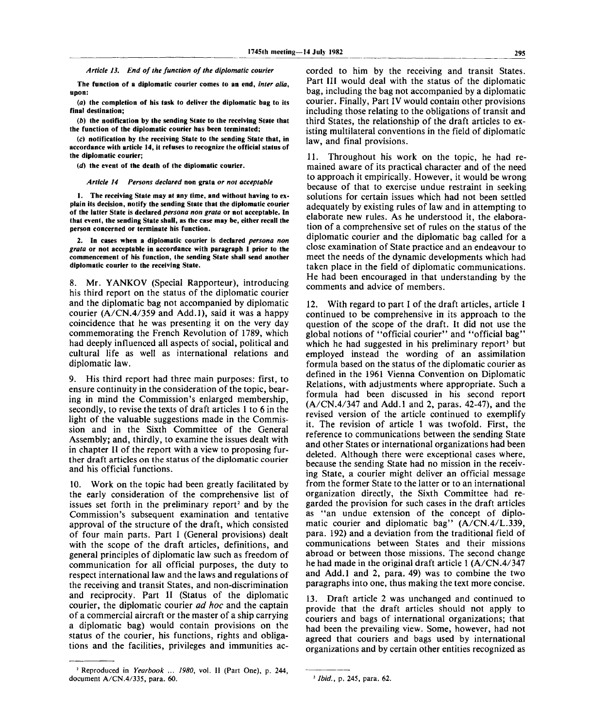*Article 13. End of the function of the diplomatic courier*

**The function of a diplomatic courier comes to an end,** *inter alia,* **upon:**

*(a)* **the completion of his task to deliver the diplomatic bag to its final destination;**

*(b)* **the notification by the sending State to the receiving State that the function of the diplomatic courier has been terminated;**

**(c) notification by the receiving State to the sending State that, in accordance with article 14, it refuses to recognize the official status of the diplomatic courier;**

*(d)* **the event of the death of the diplomatic courier.**

*Article 14 Persons declared* **non grata** *or not acceptable*

**1. The receiving State may at any time, and without having to explain its decision, notify the sending State that the diplomatic courier of the latter State is declared** *persona non grata* **or not acceptable. In that event, the sending State shall, as the case may be, either recall the person concerned or terminate his function.**

**2. In cases when a diplomatic courier is declared** *persona non grata* **or not acceptable in accordance with paragraph 1 prior to the commencement of his function, the sending State shall send another diplomatic courier to the receiving State.**

8. Mr. YANKOV (Special Rapporteur), introducing his third report on the status of the diplomatic courier and the diplomatic bag not accompanied by diplomatic courier (A/CN.4/359 and Add.l), said it was a happy coincidence that he was presenting it on the very day commemorating the French Revolution of 1789, which had deeply influenced all aspects of social, political and cultural life as well as international relations and diplomatic law.

9. His third report had three main purposes: first, to ensure continuity in the consideration of the topic, bearing in mind the Commission's enlarged membership, secondly, to revise the texts of draft articles 1 to 6 in the light of the valuable suggestions made in the Commission and in the Sixth Committee of the General Assembly; and, thirdly, to examine the issues dealt with in chapter II of the report with a view to proposing further draft articles on the status of the diplomatic courier and his official functions.

10. Work on the topic had been greatly facilitated by the early consideration of the comprehensive list of issues set forth in the preliminary report<sup>2</sup> and by the Commission's subsequent examination and tentative approval of the structure of the draft, which consisted of four main parts. Part I (General provisions) dealt with the scope of the draft articles, definitions, and general principles of diplomatic law such as freedom of communication for all official purposes, the duty to respect international law and the laws and regulations of the receiving and transit States, and non-discrimination and reciprocity. Part II (Status of the diplomatic courier, the diplomatic courier *ad hoc* and the captain of a commercial aircraft or the master of a ship carrying a diplomatic bag) would contain provisions on the status of the courier, his functions, rights and obligations and the facilities, privileges and immunities ac-

**2 Reproduced in** *Yearbook* **...** *1980,* **vol. II (Part One), p. 244, document A/CN.4/335, para. 60.**

corded to him by the receiving and transit States. Part III would deal with the status of the diplomatic bag, including the bag not accompanied by a diplomatic courier. Finally, Part IV would contain other provisions including those relating to the obligations of transit and third States, the relationship of the draft articles to existing multilateral conventions in the field of diplomatic law, and final provisions.

11. Throughout his work on the topic, he had remained aware of its practical character and of the need to approach it empirically. However, it would be wrong because of that to exercise undue restraint in seeking solutions for certain issues which had not been settled adequately by existing rules of law and in attempting to elaborate new rules. As he understood it, the elaboration of a comprehensive set of rules on the status of the diplomatic courier and the diplomatic bag called for a close examination of State practice and an endeavour to meet the needs of the dynamic developments which had taken place in the field of diplomatic communications. He had been encouraged in that understanding by the comments and advice of members.

12. With regard to part I of the draft articles, article 1 continued to be comprehensive in its approach to the question of the scope of the draft. It did not use the global notions of "official courier" and "official bag" which he had suggested in his preliminary report<sup>3</sup> but employed instead the wording of an assimilation formula based on the status of the diplomatic courier as defined in the 1961 Vienna Convention on Diplomatic Relations, with adjustments where appropriate. Such a formula had been discussed in his second report (A/CN.4/347 and Add.l and 2, paras. 42-47), and the revised version of the article continued to exemplify it. The revision of article 1 was twofold. First, the reference to communications between the sending State and other States or international organizations had been deleted. Although there were exceptional cases where, because the sending State had no mission in the receiving State, a courier might deliver an official message from the former State to the latter or to an international organization directly, the Sixth Committee had regarded the provision for such cases in the draft articles as "an undue extension of the concept of diplomatic courier and diplomatic bag" (A/CN.4/L.339, para. 192) and a deviation from the traditional field of communications between States and their missions abroad or between those missions. The second change he had made in the original draft article 1 (A/CN.4/347 and Add.l and 2, para. 49) was to combine the two paragraphs into one, thus making the text more concise.

13. Draft article 2 was unchanged and continued to provide that the draft articles should not apply to couriers and bags of international organizations; that had been the prevailing view. Some, however, had not agreed that couriers and bags used by international organizations and by certain other entities recognized as

**<sup>3</sup>**  *Ibid.,* **p. 245, para. 62.**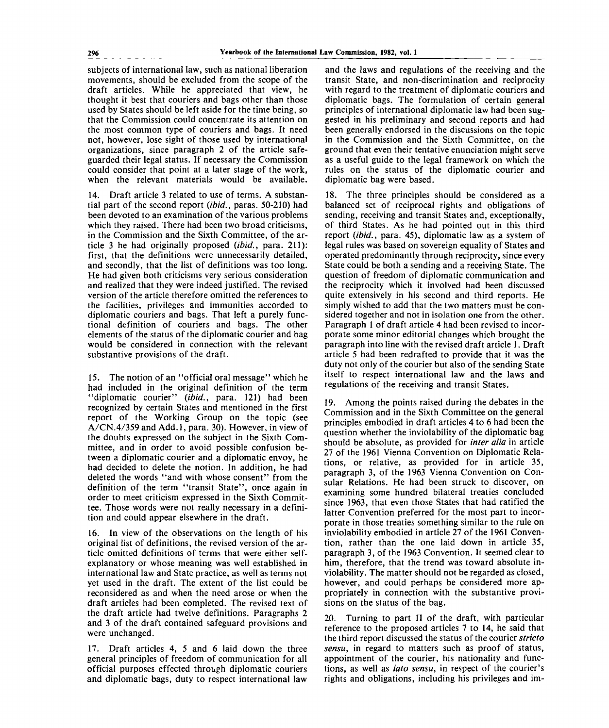subjects of international law, such as national liberation movements, should be excluded from the scope of the draft articles. While he appreciated that view, he thought it best that couriers and bags other than those used by States should be left aside for the time being, so that the Commission could concentrate its attention on the most common type of couriers and bags. It need not, however, lose sight of those used by international organizations, since paragraph 2 of the article safeguarded their legal status. If necessary the Commission could consider that point at a later stage of the work, when the relevant materials would be available.

14. Draft article 3 related to use of terms. A substantial part of the second report *(ibid.,* paras. 50-210) had been devoted to an examination of the various problems which they raised. There had been two broad criticisms, in the Commission and the Sixth Committee, of the article 3 he had originally proposed *(ibid.,* para. 211): first, that the definitions were unnecessarily detailed, and secondly, that the list of definitions was too long. He had given both criticisms very serious consideration and realized that they were indeed justified. The revised version of the article therefore omitted the references to the facilities, privileges and immunities accorded to diplomatic couriers and bags. That left a purely functional definition of couriers and bags. The other elements of the status of the diplomatic courier and bag would be considered in connection with the relevant substantive provisions of the draft.

15. The notion of an "official oral message" which he had included in the original definition of the term "diplomatic courier" *(ibid.,* para. 121) had been recognized by certain States and mentioned in the first report of the Working Group on the topic (see A/CN.4/359 and Add. 1, para. 30). However, in view of the doubts expressed on the subject in the Sixth Committee, and in order to avoid possible confusion between a diplomatic courier and a diplomatic envoy, he had decided to delete the notion. In addition, he had deleted the words "and with whose consent" from the definition of the term "transit State", once again in order to meet criticism expressed in the Sixth Committee. Those words were not really necessary in a definition and could appear elsewhere in the draft.

16. In view of the observations on the length of his original list of definitions, the revised version of the article omitted definitions of terms that were either selfexplanatory or whose meaning was well established in international law and State practice, as well as terms not yet used in the draft. The extent of the list could be reconsidered as and when the need arose or when the draft articles had been completed. The revised text of the draft article had twelve definitions. Paragraphs 2 and 3 of the draft contained safeguard provisions and were unchanged.

17. Draft articles 4, 5 and 6 laid down the three general principles of freedom of communication for all official purposes effected through diplomatic couriers and diplomatic bags, duty to respect international law

and the laws and regulations of the receiving and the transit State, and non-discrimination and reciprocity with regard to the treatment of diplomatic couriers and diplomatic bags. The formulation of certain general principles of international diplomatic law had been suggested in his preliminary and second reports and had been generally endorsed in the discussions on the topic in the Commission and the Sixth Committee, on the ground that even their tentative enunciation might serve as a useful guide to the legal framework on which the rules on the status of the diplomatic courier and diplomatic bag were based.

18. The three principles should be considered as a balanced set of reciprocal rights and obligations of sending, receiving and transit States and, exceptionally, of third States. As he had pointed out in this third report *(ibid.,* para. 45), diplomatic law as a system of legal rules was based on sovereign equality of States and operated predominantly through reciprocity, since every State could be both a sending and a receiving State. The question of freedom of diplomatic communication and the reciprocity which it involved had been discussed quite extensively in his second and third reports. He simply wished to add that the two matters must be considered together and not in isolation one from the other. Paragraph 1 of draft article 4 had been revised to incorporate some minor editorial changes which brought the paragraph into line with the revised draft article 1. Draft article 5 had been redrafted to provide that it was the duty not only of the courier but also of the sending State itself to respect international law and the laws and regulations of the receiving and transit States.

19. Among the points raised during the debates in the Commission and in the Sixth Committee on the general principles embodied in draft articles 4 to 6 had been the question whether the inviolability of the diplomatic bag should be absolute, as provided for *inter alia* in article 27 of the 1961 Vienna Convention on Diplomatic Relations, or relative, as provided for in article 35, paragraph 3, of the 1963 Vienna Convention on Consular Relations. He had been struck to discover, on examining some hundred bilateral treaties concluded since 1963, that even those States that had ratified the latter Convention preferred for the most part to incorporate in those treaties something similar to the rule on inviolability embodied in article 27 of the 1961 Convention, rather than the one laid down in article 35, paragraph 3, of the 1963 Convention. It seemed clear to him, therefore, that the trend was toward absolute inviolability. The matter should not be regarded as closed, however, and could perhaps be considered more appropriately in connection with the substantive provisions on the status of the bag.

20. Turning to part II of the draft, with particular reference to the proposed articles 7 to 14, he said that the third report discussed the status of the courier *stricto sensu,* in regard to matters such as proof of status, appointment of the courier, his nationality and functions, as well as *lato sensu,* in respect of the courier's rights and obligations, including his privileges and im-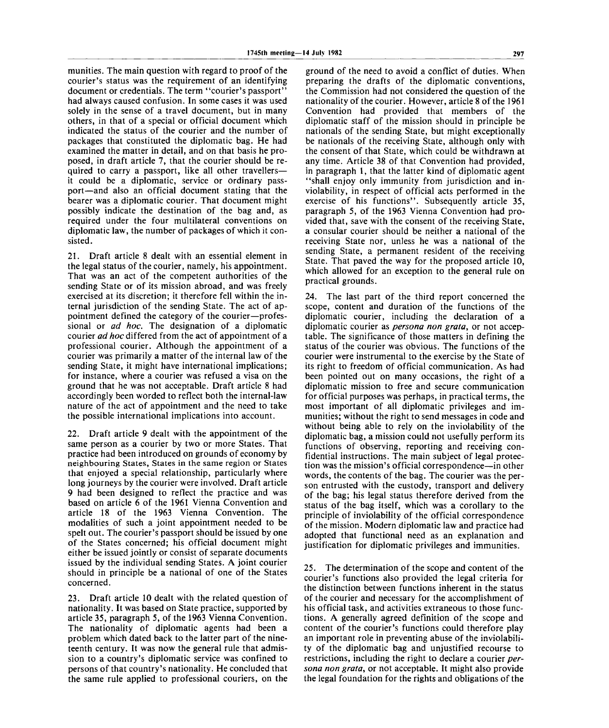munities. The main question with regard to proof of the courier's status was the requirement of an identifying document or credentials. The term "courier's passport" had always caused confusion. In some cases it was used solely in the sense of a travel document, but in many others, in that of a special or official document which indicated the status of the courier and the number of packages that constituted the diplomatic bag. He had examined the matter in detail, and on that basis he proposed, in draft article 7, that the courier should be required to carry a passport, like all other travellers it could be a diplomatic, service or ordinary passport—and also an official document stating that the bearer was a diplomatic courier. That document might possibly indicate the destination of the bag and, as required under the four multilateral conventions on diplomatic law, the number of packages of which it consisted.

21. Draft article 8 dealt with an essential element in the legal status of the courier, namely, his appointment. That was an act of the competent authorities of the sending State or of its mission abroad, and was freely exercised at its discretion; it therefore fell within the internal jurisdiction of the sending State. The act of appointment defined the category of the courier—professional or *ad hoc.* The designation of a diplomatic courier *ad hoc* differed from the act of appointment of a professional courier. Although the appointment of a courier was primarily a matter of the internal law of the sending State, it might have international implications; for instance, where a courier was refused a visa on the ground that he was not acceptable. Draft article 8 had accordingly been worded to reflect both the internal-law nature of the act of appointment and the need to take the possible international implications into account.

22. Draft article 9 dealt with the appointment of the same person as a courier by two or more States. That practice had been introduced on grounds of economy by neighbouring States, States in the same region or States that enjoyed a special relationship, particularly where long journeys by the courier were involved. Draft article 9 had been designed to reflect the practice and was based on article 6 of the 1961 Vienna Convention and article 18 of the 1963 Vienna Convention. The modalities of such a joint appointment needed to be spelt out. The courier's passport should be issued by one of the States concerned; his official document might either be issued jointly or consist of separate documents issued by the individual sending States. A joint courier should in principle be a national of one of the States concerned.

23. Draft article 10 dealt with the related question of nationality. It was based on State practice, supported by article 35, paragraph 5, of the 1963 Vienna Convention. The nationality of diplomatic agents had been a problem which dated back to the latter part of the nineteenth century. It was now the general rule that admission to a country's diplomatic service was confined to persons of that country's nationality. He concluded that the same rule applied to professional couriers, on the ground of the need to avoid a conflict of duties. When preparing the drafts of the diplomatic conventions, the Commission had not considered the question of the nationality of the courier. However, article 8 of the 1961 Convention had provided that members of the diplomatic staff of the mission should in principle be nationals of the sending State, but might exceptionally be nationals of the receiving State, although only with the consent of that State, which could be withdrawn at any time. Article 38 of that Convention had provided, in paragraph 1, that the latter kind of diplomatic agent "shall enjoy only immunity from jurisdiction and inviolability, in respect of official acts performed in the exercise of his functions". Subsequently article 35, paragraph 5, of the 1963 Vienna Convention had provided that, save with the consent of the receiving State, a consular courier should be neither a national of the receiving State nor, unless he was a national of the sending State, a permanent resident of the receiving State. That paved the way for the proposed article 10, which allowed for an exception to the general rule on practical grounds.

24. The last part of the third report concerned the scope, content and duration of the functions of the diplomatic courier, including the declaration of a diplomatic courier as *persona non grata,* or not acceptable. The significance of those matters in defining the status of the courier was obvious. The functions of the courier were instrumental to the exercise by the State of its right to freedom of official communication. As had been pointed out on many occasions, the right of a diplomatic mission to free and secure communication for official purposes was perhaps, in practical terms, the most important of all diplomatic privileges and immunities; without the right to send messages in code and without being able to rely on the inviolability of the diplomatic bag, a mission could not usefully perform its functions of observing, reporting and receiving confidential instructions. The main subject of legal protection was the mission's official correspondence—in other words, the contents of the bag. The courier was the person entrusted with the custody, transport and delivery of the bag; his legal status therefore derived from the status of the bag itself, which was a corollary to the principle of inviolability of the official correspondence of the mission. Modern diplomatic law and practice had adopted that functional need as an explanation and justification for diplomatic privileges and immunities.

25. The determination of the scope and content of the courier's functions also provided the legal criteria for the distinction between functions inherent in the status of the courier and necessary for the accomplishment of his official task, and activities extraneous to those functions. A generally agreed definition of the scope and content of the courier's functions could therefore play an important role in preventing abuse of the inviolability of the diplomatic bag and unjustified recourse to restrictions, including the right to declare a courier *persona non grata,* or not acceptable. It might also provide the legal foundation for the rights and obligations of the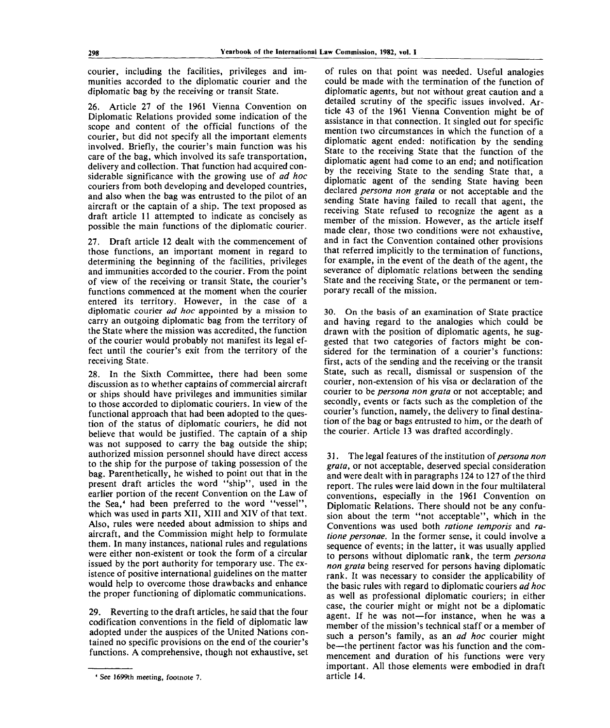courier, including the facilities, privileges and immunities accorded to the diplomatic courier and the diplomatic bag by the receiving or transit State.

26. Article 27 of the 1961 Vienna Convention on Diplomatic Relations provided some indication of the scope and content of the official functions of the courier, but did not specify all the important elements involved. Briefly, the courier's main function was his care of the bag, which involved its safe transportation, delivery and collection. That function had acquired considerable significance with the growing use of *ad hoc* couriers from both developing and developed countries, and also when the bag was entrusted to the pilot of an aircraft or the captain of a ship. The text proposed as draft article 11 attempted to indicate as concisely as possible the main functions of the diplomatic courier.

27. Draft article 12 dealt with the commencement of those functions, an important moment in regard to determining the beginning of the facilities, privileges and immunities accorded to the courier. From the point of view of the receiving or transit State, the courier's functions commenced at the moment when the courier entered its territory. However, in the case of a diplomatic courier *ad hoc* appointed by a mission to carry an outgoing diplomatic bag from the territory of the State where the mission was accredited, the function of the courier would probably not manifest its legal effect until the courier's exit from the territory of the receiving State.

28. In the Sixth Committee, there had been some discussion as to whether captains of commercial aircraft or ships should have privileges and immunities similar to those accorded to diplomatic couriers. In view of the functional approach that had been adopted to the question of the status of diplomatic couriers, he did not believe that would be justified. The captain of a ship was not supposed to carry the bag outside the ship; authorized mission personnel should have direct access to the ship for the purpose of taking possession of the bag. Parenthetically, he wished to point out that in the present draft articles the word "ship", used in the earlier portion of the recent Convention on the Law of the Sea,<sup>4</sup> had been preferred to the word "vessel", which was used in parts XII, XIII and XIV of that text. Also, rules were needed about admission to ships and aircraft, and the Commission might help to formulate them. In many instances, national rules and regulations were either non-existent or took the form of a circular issued by the port authority for temporary use. The existence of positive international guidelines on the matter would help to overcome those drawbacks and enhance the proper functioning of diplomatic communications.

29. Reverting to the draft articles, he said that the four codification conventions in the field of diplomatic law adopted under the auspices of the United Nations contained no specific provisions on the end of the courier's functions. A comprehensive, though not exhaustive, set

of rules on that point was needed. Useful analogies could be made with the termination of the function of diplomatic agents, but not without great caution and a detailed scrutiny of the specific issues involved. Article 43 of the 1961 Vienna Convention might be of assistance in that connection. It singled out for specific mention two circumstances in which the function of a diplomatic agent ended: notification by the sending State to the receiving State that the function of the diplomatic agent had come to an end; and notification by the receiving State to the sending State that, a diplomatic agent of the sending State having been declared *persona non grata* or not acceptable and the sending State having failed to recall that agent, the receiving State refused to recognize the agent as a member of the mission. However, as the article itself made clear, those two conditions were not exhaustive, and in fact the Convention contained other provisions that referred implicitly to the termination of functions, for example, in the event of the death of the agent, the severance of diplomatic relations between the sending State and the receiving State, or the permanent or temporary recall of the mission.

30. On the basis of an examination of State practice and having regard to the analogies which could be drawn with the position of diplomatic agents, he suggested that two categories of factors might be considered for the termination of a courier's functions: first, acts of the sending and the receiving or the transit State, such as recall, dismissal or suspension of the courier, non-extension of his visa or declaration of the courier to be *persona non grata* or not acceptable; and secondly, events or facts such as the completion of the courier's function, namely, the delivery to final destination of the bag or bags entrusted to him, or the death of the courier. Article 13 was drafted accordingly.

31. The legal features of the institution *of persona non grata,* or not acceptable, deserved special consideration and were dealt with in paragraphs 124 to 127 of the third report. The rules were laid down in the four multilateral conventions, especially in the 1961 Convention on Diplomatic Relations. There should not be any confusion about the term "not acceptable", which in the Conventions was used both *ratione temporis* and *ratione personae.* In the former sense, it could involve a sequence of events; in the latter, it was usually applied to persons without diplomatic rank, the term *persona non grata* being reserved for persons having diplomatic rank. It was necessary to consider the applicability of the basic rules with regard to diplomatic couriers *ad hoc* as well as professional diplomatic couriers; in either case, the courier might or might not be a diplomatic agent. If he was not—for instance, when he was a member of the mission's technical staff or a member of such a person's family, as an *ad hoc* courier might be—the pertinent factor was his function and the commencement and duration of his functions were very important. All those elements were embodied in draft article 14.

**<sup>4</sup> See 1699th meeting, footnote 7.**